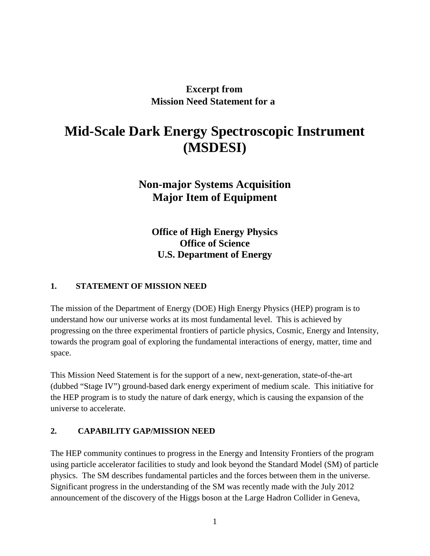# **Excerpt from Mission Need Statement for a**

# **Mid-Scale Dark Energy Spectroscopic Instrument (MSDESI)**

# **Non-major Systems Acquisition Major Item of Equipment**

**Office of High Energy Physics Office of Science U.S. Department of Energy**

#### **1. STATEMENT OF MISSION NEED**

The mission of the Department of Energy (DOE) High Energy Physics (HEP) program is to understand how our universe works at its most fundamental level. This is achieved by progressing on the three experimental frontiers of particle physics, Cosmic, Energy and Intensity, towards the program goal of exploring the fundamental interactions of energy, matter, time and space.

This Mission Need Statement is for the support of a new, next-generation, state-of-the-art (dubbed "Stage IV") ground-based dark energy experiment of medium scale. This initiative for the HEP program is to study the nature of dark energy, which is causing the expansion of the universe to accelerate.

#### **2. CAPABILITY GAP/MISSION NEED**

The HEP community continues to progress in the Energy and Intensity Frontiers of the program using particle accelerator facilities to study and look beyond the Standard Model (SM) of particle physics. The SM describes fundamental particles and the forces between them in the universe. Significant progress in the understanding of the SM was recently made with the July 2012 announcement of the discovery of the Higgs boson at the Large Hadron Collider in Geneva,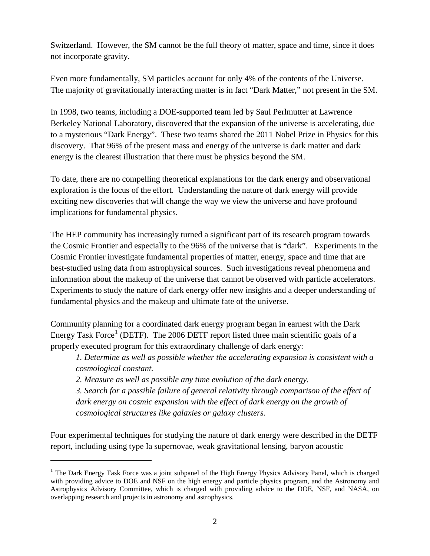Switzerland. However, the SM cannot be the full theory of matter, space and time, since it does not incorporate gravity.

Even more fundamentally, SM particles account for only 4% of the contents of the Universe. The majority of gravitationally interacting matter is in fact "Dark Matter," not present in the SM.

In 1998, two teams, including a DOE-supported team led by Saul Perlmutter at Lawrence Berkeley National Laboratory, discovered that the expansion of the universe is accelerating, due to a mysterious "Dark Energy". These two teams shared the 2011 Nobel Prize in Physics for this discovery. That 96% of the present mass and energy of the universe is dark matter and dark energy is the clearest illustration that there must be physics beyond the SM.

To date, there are no compelling theoretical explanations for the dark energy and observational exploration is the focus of the effort. Understanding the nature of dark energy will provide exciting new discoveries that will change the way we view the universe and have profound implications for fundamental physics.

The HEP community has increasingly turned a significant part of its research program towards the Cosmic Frontier and especially to the 96% of the universe that is "dark". Experiments in the Cosmic Frontier investigate fundamental properties of matter, energy, space and time that are best-studied using data from astrophysical sources. Such investigations reveal phenomena and information about the makeup of the universe that cannot be observed with particle accelerators. Experiments to study the nature of dark energy offer new insights and a deeper understanding of fundamental physics and the makeup and ultimate fate of the universe.

Community planning for a coordinated dark energy program began in earnest with the Dark Energy Task Force<sup>[1](#page-1-0)</sup> (DETF). The 2006 DETF report listed three main scientific goals of a properly executed program for this extraordinary challenge of dark energy:

*1. Determine as well as possible whether the accelerating expansion is consistent with a cosmological constant.*

*2. Measure as well as possible any time evolution of the dark energy.*

 $\overline{a}$ 

*3. Search for a possible failure of general relativity through comparison of the effect of*  dark energy on cosmic expansion with the effect of dark energy on the growth of *cosmological structures like galaxies or galaxy clusters.*

Four experimental techniques for studying the nature of dark energy were described in the DETF report, including using type Ia supernovae, weak gravitational lensing, baryon acoustic

<span id="page-1-0"></span><sup>&</sup>lt;sup>1</sup> The Dark Energy Task Force was a joint subpanel of the High Energy Physics Advisory Panel, which is charged with providing advice to DOE and NSF on the high energy and particle physics program, and the Astronomy and Astrophysics Advisory Committee, which is charged with providing advice to the DOE, NSF, and NASA, on overlapping research and projects in astronomy and astrophysics.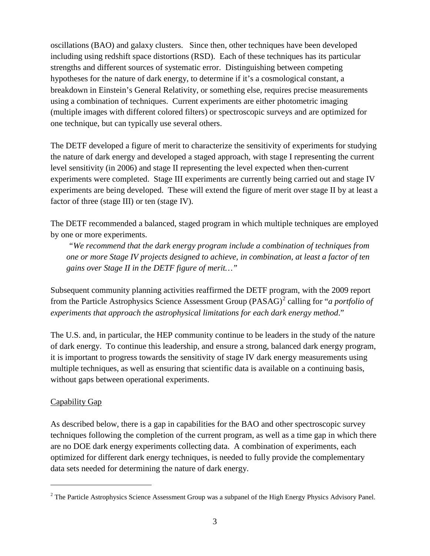oscillations (BAO) and galaxy clusters. Since then, other techniques have been developed including using redshift space distortions (RSD). Each of these techniques has its particular strengths and different sources of systematic error. Distinguishing between competing hypotheses for the nature of dark energy, to determine if it's a cosmological constant, a breakdown in Einstein's General Relativity, or something else, requires precise measurements using a combination of techniques. Current experiments are either photometric imaging (multiple images with different colored filters) or spectroscopic surveys and are optimized for one technique, but can typically use several others.

The DETF developed a figure of merit to characterize the sensitivity of experiments for studying the nature of dark energy and developed a staged approach, with stage I representing the current level sensitivity (in 2006) and stage II representing the level expected when then-current experiments were completed. Stage III experiments are currently being carried out and stage IV experiments are being developed. These will extend the figure of merit over stage II by at least a factor of three (stage III) or ten (stage IV).

The DETF recommended a balanced, staged program in which multiple techniques are employed by one or more experiments.

*"We recommend that the dark energy program include a combination of techniques from one or more Stage IV projects designed to achieve, in combination, at least a factor of ten gains over Stage II in the DETF figure of merit…"*

Subsequent community planning activities reaffirmed the DETF program, with the 2009 report from the Particle Astrophysics Science Assessment Group (PASAG)<sup>[2](#page-2-0)</sup> calling for "*a portfolio of experiments that approach the astrophysical limitations for each dark energy method*."

The U.S. and, in particular, the HEP community continue to be leaders in the study of the nature of dark energy. To continue this leadership, and ensure a strong, balanced dark energy program, it is important to progress towards the sensitivity of stage IV dark energy measurements using multiple techniques, as well as ensuring that scientific data is available on a continuing basis, without gaps between operational experiments.

#### Capability Gap

 $\overline{a}$ 

As described below, there is a gap in capabilities for the BAO and other spectroscopic survey techniques following the completion of the current program, as well as a time gap in which there are no DOE dark energy experiments collecting data. A combination of experiments, each optimized for different dark energy techniques, is needed to fully provide the complementary data sets needed for determining the nature of dark energy.

<span id="page-2-0"></span><sup>&</sup>lt;sup>2</sup> The Particle Astrophysics Science Assessment Group was a subpanel of the High Energy Physics Advisory Panel.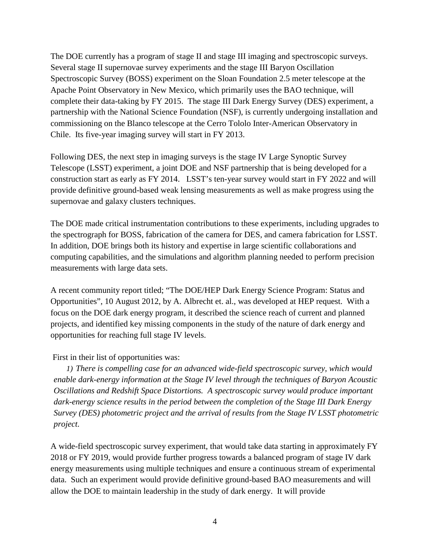The DOE currently has a program of stage II and stage III imaging and spectroscopic surveys. Several stage II supernovae survey experiments and the stage III Baryon Oscillation Spectroscopic Survey (BOSS) experiment on the Sloan Foundation 2.5 meter telescope at the Apache Point Observatory in New Mexico, which primarily uses the BAO technique, will complete their data-taking by FY 2015. The stage III Dark Energy Survey (DES) experiment, a partnership with the National Science Foundation (NSF), is currently undergoing installation and commissioning on the Blanco telescope at the Cerro Tololo Inter-American Observatory in Chile. Its five-year imaging survey will start in FY 2013.

Following DES, the next step in imaging surveys is the stage IV Large Synoptic Survey Telescope (LSST) experiment, a joint DOE and NSF partnership that is being developed for a construction start as early as FY 2014. LSST's ten-year survey would start in FY 2022 and will provide definitive ground-based weak lensing measurements as well as make progress using the supernovae and galaxy clusters techniques.

The DOE made critical instrumentation contributions to these experiments, including upgrades to the spectrograph for BOSS, fabrication of the camera for DES, and camera fabrication for LSST. In addition, DOE brings both its history and expertise in large scientific collaborations and computing capabilities, and the simulations and algorithm planning needed to perform precision measurements with large data sets.

A recent community report titled; "The DOE/HEP Dark Energy Science Program: Status and Opportunities", 10 August 2012, by A. Albrecht et. al., was developed at HEP request. With a focus on the DOE dark energy program, it described the science reach of current and planned projects, and identified key missing components in the study of the nature of dark energy and opportunities for reaching full stage IV levels.

#### First in their list of opportunities was:

*1) There is compelling case for an advanced wide-field spectroscopic survey, which would enable dark-energy information at the Stage IV level through the techniques of Baryon Acoustic Oscillations and Redshift Space Distortions. A spectroscopic survey would produce important dark-energy science results in the period between the completion of the Stage III Dark Energy Survey (DES) photometric project and the arrival of results from the Stage IV LSST photometric project.*

A wide-field spectroscopic survey experiment, that would take data starting in approximately FY 2018 or FY 2019, would provide further progress towards a balanced program of stage IV dark energy measurements using multiple techniques and ensure a continuous stream of experimental data. Such an experiment would provide definitive ground-based BAO measurements and will allow the DOE to maintain leadership in the study of dark energy. It will provide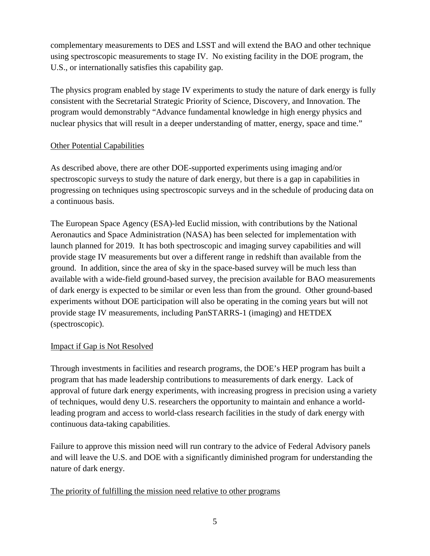complementary measurements to DES and LSST and will extend the BAO and other technique using spectroscopic measurements to stage IV. No existing facility in the DOE program, the U.S., or internationally satisfies this capability gap.

The physics program enabled by stage IV experiments to study the nature of dark energy is fully consistent with the Secretarial Strategic Priority of Science, Discovery, and Innovation. The program would demonstrably "Advance fundamental knowledge in high energy physics and nuclear physics that will result in a deeper understanding of matter, energy, space and time."

# Other Potential Capabilities

As described above, there are other DOE-supported experiments using imaging and/or spectroscopic surveys to study the nature of dark energy, but there is a gap in capabilities in progressing on techniques using spectroscopic surveys and in the schedule of producing data on a continuous basis.

The European Space Agency (ESA)-led Euclid mission, with contributions by the National Aeronautics and Space Administration (NASA) has been selected for implementation with launch planned for 2019. It has both spectroscopic and imaging survey capabilities and will provide stage IV measurements but over a different range in redshift than available from the ground. In addition, since the area of sky in the space-based survey will be much less than available with a wide-field ground-based survey, the precision available for BAO measurements of dark energy is expected to be similar or even less than from the ground. Other ground-based experiments without DOE participation will also be operating in the coming years but will not provide stage IV measurements, including PanSTARRS-1 (imaging) and HETDEX (spectroscopic).

# Impact if Gap is Not Resolved

Through investments in facilities and research programs, the DOE's HEP program has built a program that has made leadership contributions to measurements of dark energy. Lack of approval of future dark energy experiments, with increasing progress in precision using a variety of techniques, would deny U.S. researchers the opportunity to maintain and enhance a worldleading program and access to world-class research facilities in the study of dark energy with continuous data-taking capabilities.

Failure to approve this mission need will run contrary to the advice of Federal Advisory panels and will leave the U.S. and DOE with a significantly diminished program for understanding the nature of dark energy.

#### The priority of fulfilling the mission need relative to other programs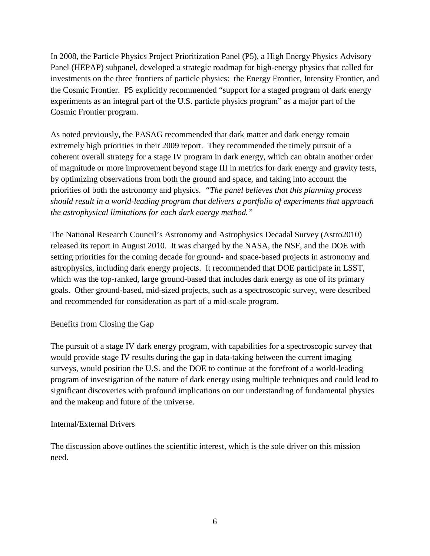In 2008, the Particle Physics Project Prioritization Panel (P5), a High Energy Physics Advisory Panel (HEPAP) subpanel, developed a strategic roadmap for high-energy physics that called for investments on the three frontiers of particle physics: the Energy Frontier, Intensity Frontier, and the Cosmic Frontier. P5 explicitly recommended "support for a staged program of dark energy experiments as an integral part of the U.S. particle physics program" as a major part of the Cosmic Frontier program.

As noted previously, the PASAG recommended that dark matter and dark energy remain extremely high priorities in their 2009 report. They recommended the timely pursuit of a coherent overall strategy for a stage IV program in dark energy, which can obtain another order of magnitude or more improvement beyond stage III in metrics for dark energy and gravity tests, by optimizing observations from both the ground and space, and taking into account the priorities of both the astronomy and physics. *"The panel believes that this planning process should result in a world-leading program that delivers a portfolio of experiments that approach the astrophysical limitations for each dark energy method."*

The National Research Council's Astronomy and Astrophysics Decadal Survey (Astro2010) released its report in August 2010. It was charged by the NASA, the NSF, and the DOE with setting priorities for the coming decade for ground- and space-based projects in astronomy and astrophysics, including dark energy projects. It recommended that DOE participate in LSST, which was the top-ranked, large ground-based that includes dark energy as one of its primary goals. Other ground-based, mid-sized projects, such as a spectroscopic survey, were described and recommended for consideration as part of a mid-scale program.

#### Benefits from Closing the Gap

The pursuit of a stage IV dark energy program, with capabilities for a spectroscopic survey that would provide stage IV results during the gap in data-taking between the current imaging surveys, would position the U.S. and the DOE to continue at the forefront of a world-leading program of investigation of the nature of dark energy using multiple techniques and could lead to significant discoveries with profound implications on our understanding of fundamental physics and the makeup and future of the universe.

#### Internal/External Drivers

The discussion above outlines the scientific interest, which is the sole driver on this mission need.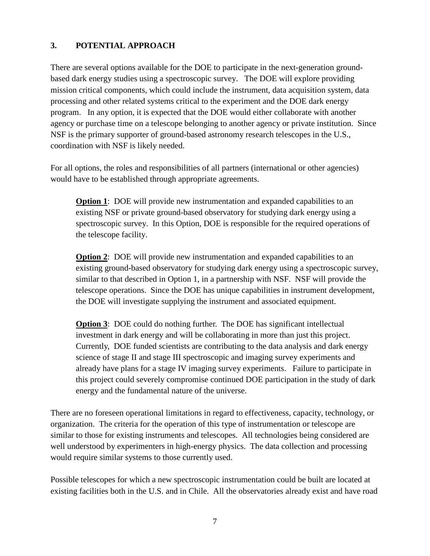# **3. POTENTIAL APPROACH**

There are several options available for the DOE to participate in the next-generation groundbased dark energy studies using a spectroscopic survey. The DOE will explore providing mission critical components, which could include the instrument, data acquisition system, data processing and other related systems critical to the experiment and the DOE dark energy program. In any option, it is expected that the DOE would either collaborate with another agency or purchase time on a telescope belonging to another agency or private institution. Since NSF is the primary supporter of ground-based astronomy research telescopes in the U.S., coordination with NSF is likely needed.

For all options, the roles and responsibilities of all partners (international or other agencies) would have to be established through appropriate agreements.

**Option 1**: DOE will provide new instrumentation and expanded capabilities to an existing NSF or private ground-based observatory for studying dark energy using a spectroscopic survey. In this Option, DOE is responsible for the required operations of the telescope facility.

**Option 2:** DOE will provide new instrumentation and expanded capabilities to an existing ground-based observatory for studying dark energy using a spectroscopic survey, similar to that described in Option 1, in a partnership with NSF. NSF will provide the telescope operations. Since the DOE has unique capabilities in instrument development, the DOE will investigate supplying the instrument and associated equipment.

**Option 3:** DOE could do nothing further. The DOE has significant intellectual investment in dark energy and will be collaborating in more than just this project. Currently, DOE funded scientists are contributing to the data analysis and dark energy science of stage II and stage III spectroscopic and imaging survey experiments and already have plans for a stage IV imaging survey experiments. Failure to participate in this project could severely compromise continued DOE participation in the study of dark energy and the fundamental nature of the universe.

There are no foreseen operational limitations in regard to effectiveness, capacity, technology, or organization. The criteria for the operation of this type of instrumentation or telescope are similar to those for existing instruments and telescopes. All technologies being considered are well understood by experimenters in high-energy physics. The data collection and processing would require similar systems to those currently used.

Possible telescopes for which a new spectroscopic instrumentation could be built are located at existing facilities both in the U.S. and in Chile. All the observatories already exist and have road